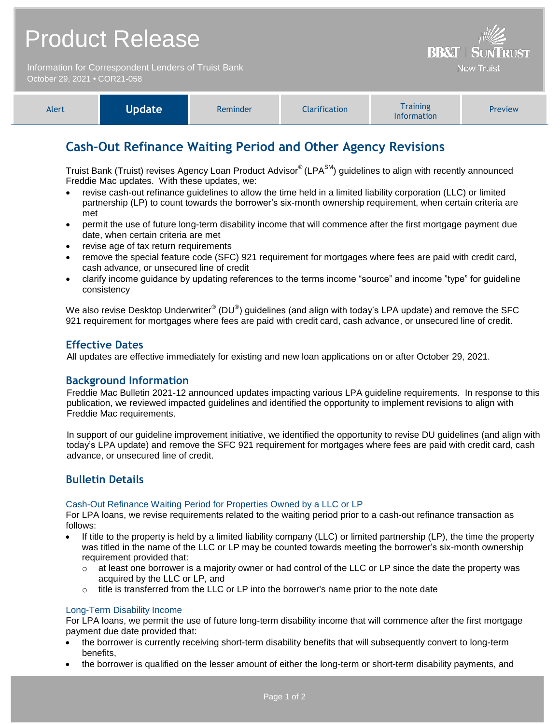Information for Correspondent Lenders of Truist Bank October 29, 2021 **•** COR21-058



**BB&T | SUN** 

**Now Truist** 

# **Cash-Out Refinance Waiting Period and Other Agency Revisions**

Truist Bank (Truist) revises Agency Loan Product Advisor<sup>®</sup> (LPA<sup>SM</sup>) guidelines to align with recently announced Freddie Mac updates. With these updates, we:

- revise cash-out refinance guidelines to allow the time held in a limited liability corporation (LLC) or limited partnership (LP) to count towards the borrower's six-month ownership requirement, when certain criteria are met
- permit the use of future long-term disability income that will commence after the first mortgage payment due date, when certain criteria are met
- revise age of tax return requirements
- remove the special feature code (SFC) 921 requirement for mortgages where fees are paid with credit card, cash advance, or unsecured line of credit
- clarify income guidance by updating references to the terms income "source" and income "type" for guideline consistency

We also revise Desktop Underwriter $^{\circledast}$  (DU $^{\circledast}$ ) guidelines (and align with today's LPA update) and remove the SFC 921 requirement for mortgages where fees are paid with credit card, cash advance, or unsecured line of credit.

# **Effective Dates**

All updates are effective immediately for existing and new loan applications on or after October 29, 2021.

### **Background Information**

Freddie Mac Bulletin 2021-12 announced updates impacting various LPA guideline requirements. In response to this publication, we reviewed impacted guidelines and identified the opportunity to implement revisions to align with Freddie Mac requirements.

In support of our guideline improvement initiative, we identified the opportunity to revise DU guidelines (and align with today's LPA update) and remove the SFC 921 requirement for mortgages where fees are paid with credit card, cash advance, or unsecured line of credit.

# **Bulletin Details**

#### Cash-Out Refinance Waiting Period for Properties Owned by a LLC or LP

For LPA loans, we revise requirements related to the waiting period prior to a cash-out refinance transaction as follows:

- If title to the property is held by a limited liability company (LLC) or limited partnership (LP), the time the property was titled in the name of the LLC or LP may be counted towards meeting the borrower's six-month ownership requirement provided that:
	- $\circ$  at least one borrower is a majority owner or had control of the LLC or LP since the date the property was acquired by the LLC or LP, and
	- $\circ$  title is transferred from the LLC or LP into the borrower's name prior to the note date

#### Long-Term Disability Income

For LPA loans, we permit the use of future long-term disability income that will commence after the first mortgage payment due date provided that:

- the borrower is currently receiving short-term disability benefits that will subsequently convert to long-term benefits,
- the borrower is qualified on the lesser amount of either the long-term or short-term disability payments, and